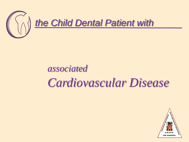

## *associated Cardiovascular Disease*

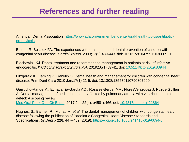## **References and further reading**

[American Dental Association https://www.ada.org/en/member-center/oral-health-topics/antibiotic](https://www.ada.org/en/member-center/oral-health-topics/antibiotic-prophylaxis)prophylaxis

Balmer R, Bu'Lock FA. The experiences with oral health and dental prevention of children with congenital heart disease. *Cardiol Young*. 2003;13(5):439‐443. doi:10.1017/s1047951103000921

Błochowiak KJ. Dental treatment and recommended management in patients at risk of infective endocarditis. *Kardiochir Torakochirurgia Pol*. 2019;16(1):37‐41. doi: [10.5114/kitp.2019.83944](about:blank)

Fitzgerald K, Fleming P, Franklin O: Dental health and management for children with congenital heart disease. Prim Dent Care 2010 Jan;17(1):21-5. doi: 10.1308/135576110790307690

Garrocho-Rangel A , Echavarría-García AC , Rosales-Bérber MA , FloresVelázquez J, Pozos-Guillén A: Dental management of pediatric patients affected by pulmonary atresia with ventricular septal defect: A scoping review [Med Oral Patol Oral Cir Bucal](https://www.ncbi.nlm.nih.gov/pmc/articles/PMC5549532/). 2017 Jul; 22(4): e458–e466. doi: [10.4317/medoral.21864](https://dx.doi.org/10.4317%2Fmedoral.21864)

Hughes, S., Balmer, R., Moffat, M. *et al.* The dental management of children with congenital heart disease following the publication of Paediatric Congenital Heart Disease Standards and Specifications. *Br Dent J* **226,** 447–452 (2019). <https://doi.org/10.1038/s41415-019-0094-0>